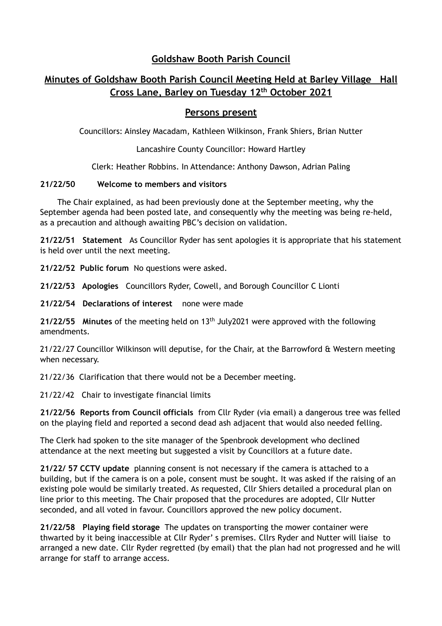## **Goldshaw Booth Parish Council**

# **Minutes of Goldshaw Booth Parish Council Meeting Held at Barley Village Hall Cross Lane, Barley on Tuesday 12th October 2021**

### **Persons present**

Councillors: Ainsley Macadam, Kathleen Wilkinson, Frank Shiers, Brian Nutter

Lancashire County Councillor: Howard Hartley

Clerk: Heather Robbins. In Attendance: Anthony Dawson, Adrian Paling

#### **21/22/50 Welcome to members and visitors**

The Chair explained, as had been previously done at the September meeting, why the September agenda had been posted late, and consequently why the meeting was being re-held, as a precaution and although awaiting PBC's decision on validation.

**21/22/51 Statement** As Councillor Ryder has sent apologies it is appropriate that his statement is held over until the next meeting.

**21/22/52 Public forum** No questions were asked.

**21/22/53 Apologies** Councillors Ryder, Cowell, and Borough Councillor C Lionti

**21/22/54 Declarations of interest** none were made

**21/22/55 Minutes** of the meeting held on 13th July2021 were approved with the following amendments.

21/22/27 Councillor Wilkinson will deputise, for the Chair, at the Barrowford & Western meeting when necessary.

21/22/36 Clarification that there would not be a December meeting.

21/22/42 Chair to investigate financial limits

**21/22/56 Reports from Council officials** from Cllr Ryder (via email) a dangerous tree was felled on the playing field and reported a second dead ash adjacent that would also needed felling.

The Clerk had spoken to the site manager of the Spenbrook development who declined attendance at the next meeting but suggested a visit by Councillors at a future date.

**21/22/ 57 CCTV update** planning consent is not necessary if the camera is attached to a building, but if the camera is on a pole, consent must be sought. It was asked if the raising of an existing pole would be similarly treated. As requested, Cllr Shiers detailed a procedural plan on line prior to this meeting. The Chair proposed that the procedures are adopted, Cllr Nutter seconded, and all voted in favour. Councillors approved the new policy document.

**21/22/58 Playing field storage** The updates on transporting the mower container were thwarted by it being inaccessible at Cllr Ryder' s premises. Cllrs Ryder and Nutter will liaise to arranged a new date. Cllr Ryder regretted (by email) that the plan had not progressed and he will arrange for staff to arrange access.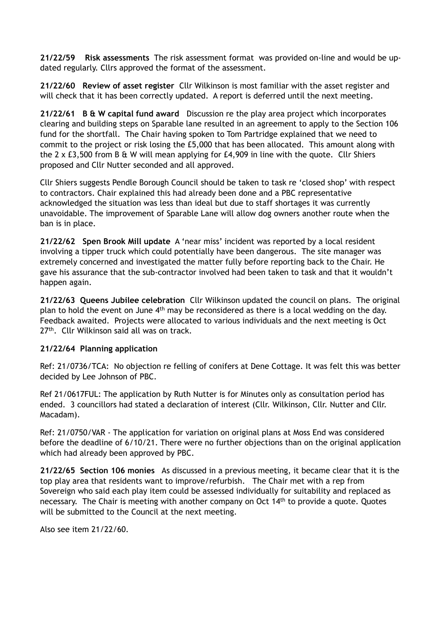**21/22/59 Risk assessments** The risk assessment format was provided on-line and would be updated regularly. Cllrs approved the format of the assessment.

**21/22/60 Review of asset register** Cllr Wilkinson is most familiar with the asset register and will check that it has been correctly updated. A report is deferred until the next meeting.

**21/22/61 B & W capital fund award** Discussion re the play area project which incorporates clearing and building steps on Sparable lane resulted in an agreement to apply to the Section 106 fund for the shortfall. The Chair having spoken to Tom Partridge explained that we need to commit to the project or risk losing the £5,000 that has been allocated. This amount along with the 2 x £3,500 from B & W will mean applying for £4,909 in line with the quote. Cllr Shiers proposed and Cllr Nutter seconded and all approved.

Cllr Shiers suggests Pendle Borough Council should be taken to task re 'closed shop' with respect to contractors. Chair explained this had already been done and a PBC representative acknowledged the situation was less than ideal but due to staff shortages it was currently unavoidable. The improvement of Sparable Lane will allow dog owners another route when the ban is in place.

**21/22/62 Spen Brook Mill update** A 'near miss' incident was reported by a local resident involving a tipper truck which could potentially have been dangerous. The site manager was extremely concerned and investigated the matter fully before reporting back to the Chair. He gave his assurance that the sub-contractor involved had been taken to task and that it wouldn't happen again.

**21/22/63 Queens Jubilee celebration** Cllr Wilkinson updated the council on plans. The original plan to hold the event on June  $4<sup>th</sup>$  may be reconsidered as there is a local wedding on the day. Feedback awaited. Projects were allocated to various individuals and the next meeting is Oct 27<sup>th</sup>. Cllr Wilkinson said all was on track.

#### **21/22/64 Planning application**

Ref: 21/0736/TCA: No objection re felling of conifers at Dene Cottage. It was felt this was better decided by Lee Johnson of PBC.

Ref 21/0617FUL: The application by Ruth Nutter is for Minutes only as consultation period has ended. 3 councillors had stated a declaration of interest (Cllr. Wilkinson, Cllr. Nutter and Cllr. Macadam).

Ref: 21/0750/VAR - The application for variation on original plans at Moss End was considered before the deadline of 6/10/21. There were no further objections than on the original application which had already been approved by PBC.

**21/22/65 Section 106 monies** As discussed in a previous meeting, it became clear that it is the top play area that residents want to improve/refurbish. The Chair met with a rep from Sovereign who said each play item could be assessed individually for suitability and replaced as necessary. The Chair is meeting with another company on Oct 14<sup>th</sup> to provide a quote. Quotes will be submitted to the Council at the next meeting.

Also see item 21/22/60.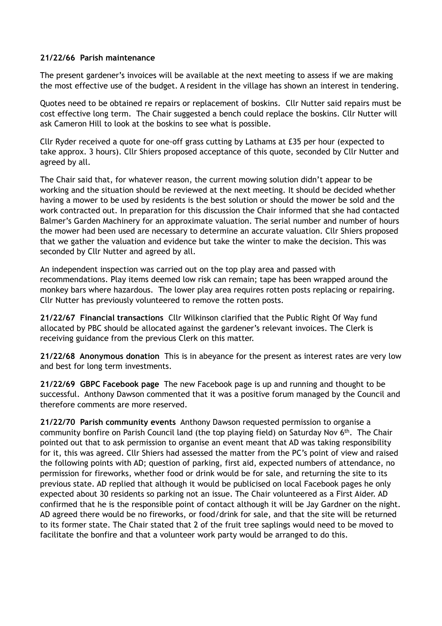#### **21/22/66 Parish maintenance**

The present gardener's invoices will be available at the next meeting to assess if we are making the most effective use of the budget. A resident in the village has shown an interest in tendering.

Quotes need to be obtained re repairs or replacement of boskins. Cllr Nutter said repairs must be cost effective long term. The Chair suggested a bench could replace the boskins. Cllr Nutter will ask Cameron Hill to look at the boskins to see what is possible.

Cllr Ryder received a quote for one-off grass cutting by Lathams at £35 per hour (expected to take approx. 3 hours). Cllr Shiers proposed acceptance of this quote, seconded by Cllr Nutter and agreed by all.

The Chair said that, for whatever reason, the current mowing solution didn't appear to be working and the situation should be reviewed at the next meeting. It should be decided whether having a mower to be used by residents is the best solution or should the mower be sold and the work contracted out. In preparation for this discussion the Chair informed that she had contacted Balmer's Garden Machinery for an approximate valuation. The serial number and number of hours the mower had been used are necessary to determine an accurate valuation. Cllr Shiers proposed that we gather the valuation and evidence but take the winter to make the decision. This was seconded by Cllr Nutter and agreed by all.

An independent inspection was carried out on the top play area and passed with recommendations. Play items deemed low risk can remain; tape has been wrapped around the monkey bars where hazardous. The lower play area requires rotten posts replacing or repairing. Cllr Nutter has previously volunteered to remove the rotten posts.

**21/22/67 Financial transactions** Cllr Wilkinson clarified that the Public Right Of Way fund allocated by PBC should be allocated against the gardener's relevant invoices. The Clerk is receiving guidance from the previous Clerk on this matter.

**21/22/68 Anonymous donation** This is in abeyance for the present as interest rates are very low and best for long term investments.

**21/22/69 GBPC Facebook page** The new Facebook page is up and running and thought to be successful. Anthony Dawson commented that it was a positive forum managed by the Council and therefore comments are more reserved.

**21/22/70 Parish community events** Anthony Dawson requested permission to organise a community bonfire on Parish Council land (the top playing field) on Saturday Nov 6th. The Chair pointed out that to ask permission to organise an event meant that AD was taking responsibility for it, this was agreed. Cllr Shiers had assessed the matter from the PC's point of view and raised the following points with AD; question of parking, first aid, expected numbers of attendance, no permission for fireworks, whether food or drink would be for sale, and returning the site to its previous state. AD replied that although it would be publicised on local Facebook pages he only expected about 30 residents so parking not an issue. The Chair volunteered as a First Aider. AD confirmed that he is the responsible point of contact although it will be Jay Gardner on the night. AD agreed there would be no fireworks, or food/drink for sale, and that the site will be returned to its former state. The Chair stated that 2 of the fruit tree saplings would need to be moved to facilitate the bonfire and that a volunteer work party would be arranged to do this.